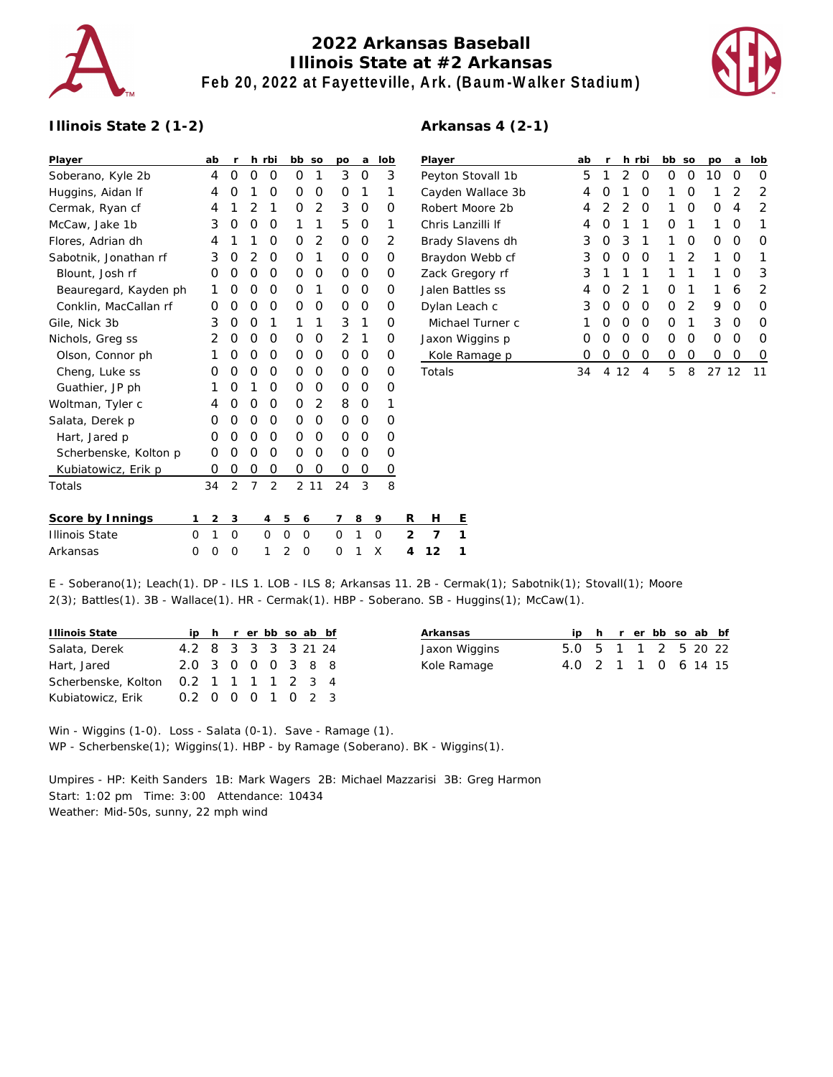

## **2022 Arkansas Baseball Illinois State at #2 Arkansas Feb 20, 2022 at Fayetteville, Ark. (Baum-Walker Stadium)**

**Arkansas 4 (2-1)**



## **Illinois State 2 (1-2)**

| Player                |          | ab       | r              |   | h rbi          |                |                | bb so          | po             | a | lob      |                | Player          |         |
|-----------------------|----------|----------|----------------|---|----------------|----------------|----------------|----------------|----------------|---|----------|----------------|-----------------|---------|
| Soberano, Kyle 2b     |          | 4        | O              | 0 | 0              |                | O              | 1              | 3              | O | 3        |                | Peyton 9        |         |
| Huggins, Aidan If     |          | 4        | O              | 1 | O              |                | Ο              | 0              | 0              | 1 | 1        |                | Cayden          |         |
| Cermak, Ryan cf       |          | 4        | 1              | 2 | 1              |                | Ο              | $\overline{2}$ | 3              | 0 | Ο        |                | Robert N        |         |
| McCaw, Jake 1b        |          | 3        | O              | 0 | 0              |                | 1              | 1              | 5              | 0 | 1        |                | Chris La        |         |
| Flores, Adrian dh     |          | 4        | 1              | 1 | O              |                | 0              | 2              | 0              | 0 | 2        |                | <b>Brady SI</b> |         |
| Sabotnik, Jonathan rf |          | 3        | O              | 2 | O              |                | Ο              | 1              | O              | 0 | O        |                | Braydon         |         |
| Blount, Josh rf       |          | O        | O              | 0 | O              |                | Ο              | 0              | O              | 0 | Ο        |                | Zack Gre        |         |
| Beauregard, Kayden ph |          | 1        | Ο              | 0 | 0              |                | 0              | 1              | 0              | 0 | 0        |                | Jalen Ba        |         |
| Conklin, MacCallan rf |          | O        | 0              | 0 | 0              |                | 0              | 0              | 0              | O | 0        |                | Dylan Le        |         |
| Gile, Nick 3b         |          | 3        | O              | O | 1              |                | 1              | 1              | 3              | 1 | Ο        |                |                 | Michae  |
| Nichols, Greg ss      |          | 2        | O              | 0 | O              |                | Ο              | 0              | 2              | 1 | $\Omega$ |                | Jaxon W         |         |
| Olson, Connor ph      |          | 1        | O              | 0 | 0              |                | 0              | 0              | O              | O | 0        |                |                 | Kole Ra |
| Cheng, Luke ss        |          | O        | O              | 0 | O              |                | 0              | 0              | 0              | 0 | 0        |                | Totals          |         |
| Guathier, JP ph       |          | 1        | O              | 1 | O              |                | Ο              | O              | O              | O | Ο        |                |                 |         |
| Woltman, Tyler c      |          | 4        | O              | 0 | O              |                | O              | 2              | 8              | O | 1        |                |                 |         |
| Salata, Derek p       |          | 0        | O              | 0 | O              |                | O              | O              | O              | 0 | 0        |                |                 |         |
| Hart, Jared p         |          | O        | O              | 0 | O              |                | 0              | 0              | O              | 0 | Ο        |                |                 |         |
| Scherbenske, Kolton p |          | O        | Ο              | 0 | O              |                | Ο              | O              | O              | O | Ο        |                |                 |         |
| Kubiatowicz, Erik p   |          | O        | Ο              | 0 | O              |                | Ο              | $\Omega$       | Ο              | 0 | 0        |                |                 |         |
| Totals                |          | 34       | $\overline{2}$ | 7 | $\overline{2}$ |                | $\overline{2}$ | 11             | 24             | 3 | 8        |                |                 |         |
| Score by Innings      | 1        | 2        | 3              |   | 4              | 5              | 6              |                | 7              | 8 | 9        | R              | н               | Ε       |
| <b>Illinois State</b> | $\Omega$ | 1        | $\Omega$       |   | $\Omega$       | $\Omega$       | $\Omega$       |                | $\overline{O}$ | 1 | $\Omega$ | $\overline{2}$ | $\overline{7}$  | 1       |
| Arkansas              | $\Omega$ | $\Omega$ | $\Omega$       |   | 1              | $\overline{2}$ | $\Omega$       |                | $\Omega$       | 1 | Х        | 4              | 12              | 1       |

| Player            | ab | r                |    | h rbi | bb | <b>SO</b> | <b>DO</b>        | a  | lob              |
|-------------------|----|------------------|----|-------|----|-----------|------------------|----|------------------|
| Peyton Stovall 1b | 5  | 1                | 2  | Ο     | Ω  | Ω         | 10               | O  | Ω                |
| Cayden Wallace 3b | 4  | Ω                | 1  | Ο     | 1  | Ω         | 1                | 2  | 2                |
| Robert Moore 2b   | 4  | 2                | 2  | O     | 1  | Ω         | Ω                | 4  | 2                |
| Chris Lanzilli If | 4  | O                | 1  | 1     | Ω  | 1         | 1                | O  | 1                |
| Brady Slavens dh  | 3  | Ο                | 3  | 1     | 1  | Ω         | $\left( \right)$ | O  | O                |
| Braydon Webb cf   | 3  | O                | O  | Ω     | 1  | 2         | 1                | ∩  | 1                |
| Zack Gregory rf   | 3  | 1                | 1  | 1     | 1  | 1         | 1                | O  | 3                |
| Jalen Battles ss  | 4  | O                | 2  | 1     | Ω  | 1         | 1                | 6  | 2                |
| Dylan Leach c     | 3  | O                | O  | O     | Ω  | 2         | 9                | O  | Ω                |
| Michael Turner c  | 1  | Ω                | Ω  | Ω     | Ω  | 1         | 3                | O  | O                |
| Jaxon Wiggins p   | Ω  | O                | O  | Ω     | Ω  | Ω         | Ω                | O  | Ω                |
| Kole Ramage p     | Ω  | $\left( \right)$ | Ω  | Ω     | Ω  | Ω         | 0                | Ω  | $\left( \right)$ |
| Totals            | 34 | 4                | 12 | 4     | 5  | 8         | 27               | 12 | 11               |

E - Soberano(1); Leach(1). DP - ILS 1. LOB - ILS 8; Arkansas 11. 2B - Cermak(1); Sabotnik(1); Stovall(1); Moore 2(3); Battles(1). 3B - Wallace(1). HR - Cermak(1). HBP - Soberano. SB - Huggins(1); McCaw(1).

| Illinois State      |                     |  |  |  | ip h r er bb so ab bf |  |
|---------------------|---------------------|--|--|--|-----------------------|--|
| Salata, Derek       | 4.2 8 3 3 3 3 21 24 |  |  |  |                       |  |
| Hart, Jared         | 2.0 3 0 0 0 3 8 8   |  |  |  |                       |  |
| Scherbenske, Kolton | 0.2 1 1 1 1 2 3 4   |  |  |  |                       |  |
| Kubiatowicz, Erik   | 0.2 0 0 0 1 0 2 3   |  |  |  |                       |  |

| Arkansas      |                     |  |  |  | ip h r er bb so ab bf |
|---------------|---------------------|--|--|--|-----------------------|
| Jaxon Wiggins | 5.0 5 1 1 2 5 20 22 |  |  |  |                       |
| Kole Ramage   | 4.0 2 1 1 0 6 14 15 |  |  |  |                       |

Win - Wiggins (1-0). Loss - Salata (0-1). Save - Ramage (1). WP - Scherbenske(1); Wiggins(1). HBP - by Ramage (Soberano). BK - Wiggins(1).

Umpires - HP: Keith Sanders 1B: Mark Wagers 2B: Michael Mazzarisi 3B: Greg Harmon Start: 1:02 pm Time: 3:00 Attendance: 10434 Weather: Mid-50s, sunny, 22 mph wind